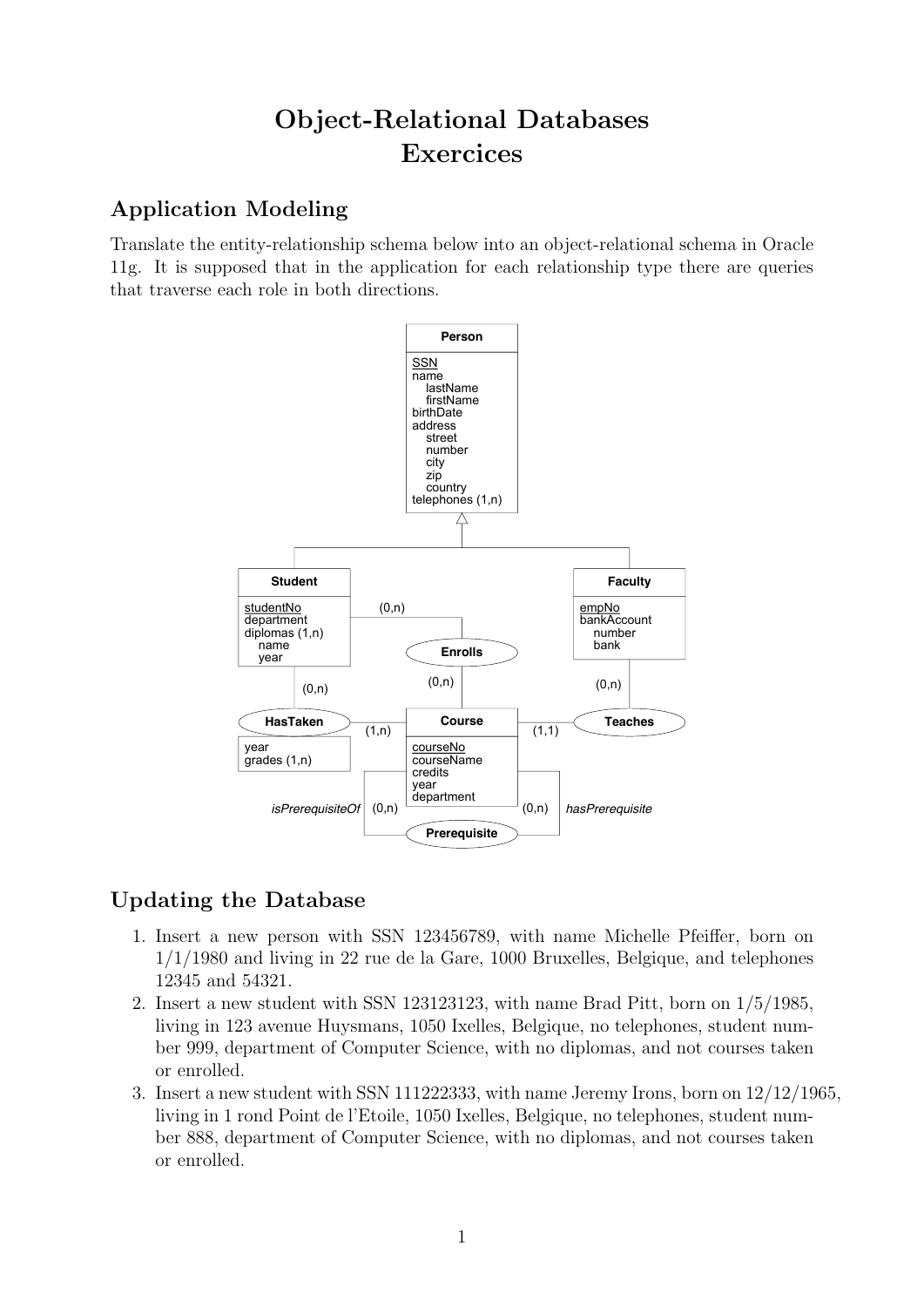# Object-Relational Databases Exercices

## Application Modeling

Translate the entity-relationship schema below into an object-relational schema in Oracle 11g. It is supposed that in the application for each relationship type there are queries that traverse each role in both directions.



## Updating the Database

- 1. Insert a new person with SSN 123456789, with name Michelle Pfeiffer, born on 1/1/1980 and living in 22 rue de la Gare, 1000 Bruxelles, Belgique, and telephones 12345 and 54321.
- 2. Insert a new student with SSN 123123123, with name Brad Pitt, born on 1/5/1985, living in 123 avenue Huysmans, 1050 Ixelles, Belgique, no telephones, student number 999, department of Computer Science, with no diplomas, and not courses taken or enrolled.
- 3. Insert a new student with SSN 111222333, with name Jeremy Irons, born on 12/12/1965, living in 1 rond Point de l'Etoile, 1050 Ixelles, Belgique, no telephones, student number 888, department of Computer Science, with no diplomas, and not courses taken or enrolled.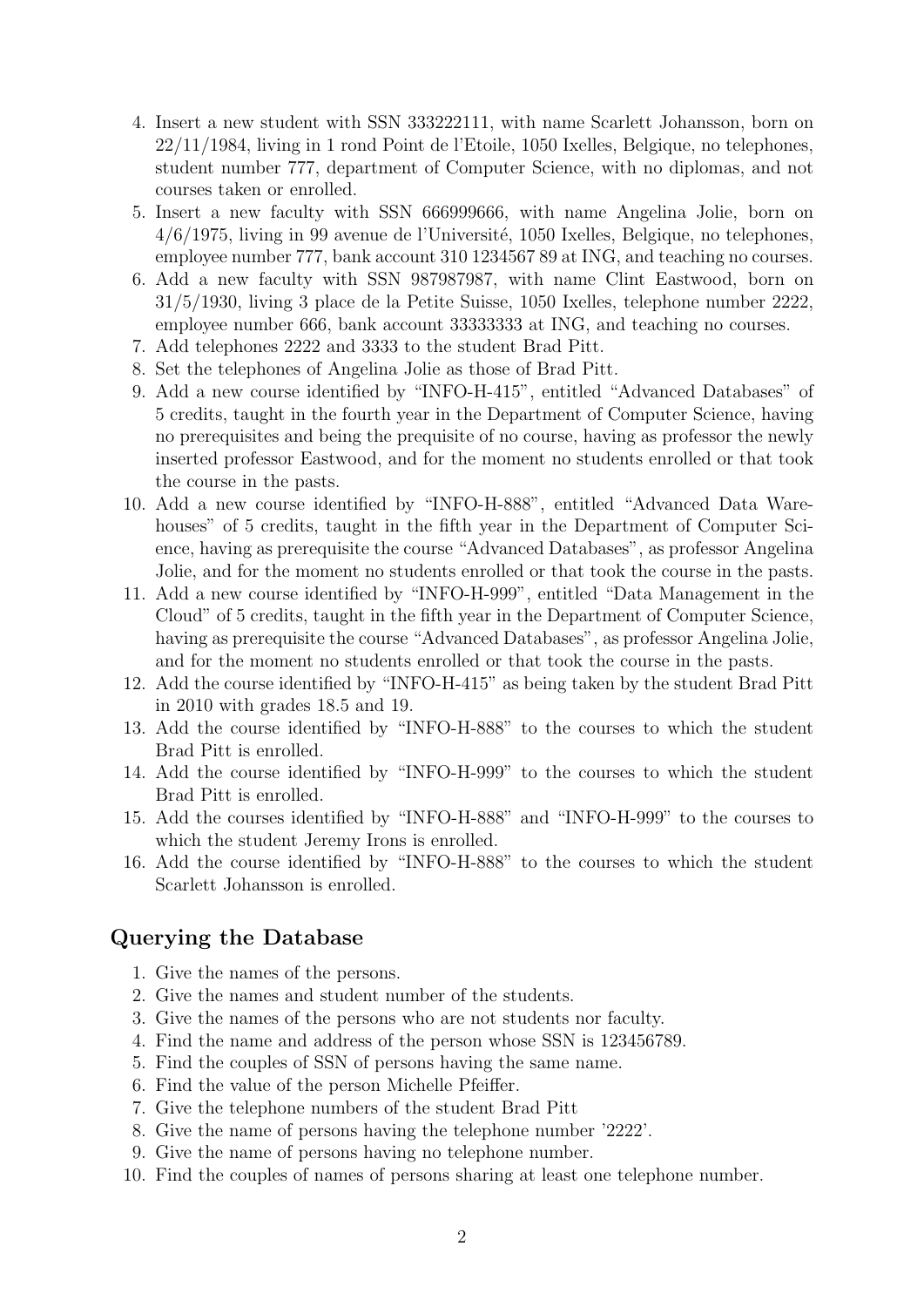- 4. Insert a new student with SSN 333222111, with name Scarlett Johansson, born on 22/11/1984, living in 1 rond Point de l'Etoile, 1050 Ixelles, Belgique, no telephones, student number 777, department of Computer Science, with no diplomas, and not courses taken or enrolled.
- 5. Insert a new faculty with SSN 666999666, with name Angelina Jolie, born on  $4/6/1975$ , living in 99 avenue de l'Université, 1050 Ixelles, Belgique, no telephones, employee number 777, bank account 310 1234567 89 at ING, and teaching no courses.
- 6. Add a new faculty with SSN 987987987, with name Clint Eastwood, born on 31/5/1930, living 3 place de la Petite Suisse, 1050 Ixelles, telephone number 2222, employee number 666, bank account 33333333 at ING, and teaching no courses.
- 7. Add telephones 2222 and 3333 to the student Brad Pitt.
- 8. Set the telephones of Angelina Jolie as those of Brad Pitt.
- 9. Add a new course identified by "INFO-H-415", entitled "Advanced Databases" of 5 credits, taught in the fourth year in the Department of Computer Science, having no prerequisites and being the prequisite of no course, having as professor the newly inserted professor Eastwood, and for the moment no students enrolled or that took the course in the pasts.
- 10. Add a new course identified by "INFO-H-888", entitled "Advanced Data Warehouses" of 5 credits, taught in the fifth year in the Department of Computer Science, having as prerequisite the course "Advanced Databases", as professor Angelina Jolie, and for the moment no students enrolled or that took the course in the pasts.
- 11. Add a new course identified by "INFO-H-999", entitled "Data Management in the Cloud" of 5 credits, taught in the fifth year in the Department of Computer Science, having as prerequisite the course "Advanced Databases", as professor Angelina Jolie, and for the moment no students enrolled or that took the course in the pasts.
- 12. Add the course identified by "INFO-H-415" as being taken by the student Brad Pitt in 2010 with grades 18.5 and 19.
- 13. Add the course identified by "INFO-H-888" to the courses to which the student Brad Pitt is enrolled.
- 14. Add the course identified by "INFO-H-999" to the courses to which the student Brad Pitt is enrolled.
- 15. Add the courses identified by "INFO-H-888" and "INFO-H-999" to the courses to which the student Jeremy Irons is enrolled.
- 16. Add the course identified by "INFO-H-888" to the courses to which the student Scarlett Johansson is enrolled.

#### Querying the Database

- 1. Give the names of the persons.
- 2. Give the names and student number of the students.
- 3. Give the names of the persons who are not students nor faculty.
- 4. Find the name and address of the person whose SSN is 123456789.
- 5. Find the couples of SSN of persons having the same name.
- 6. Find the value of the person Michelle Pfeiffer.
- 7. Give the telephone numbers of the student Brad Pitt
- 8. Give the name of persons having the telephone number '2222'.
- 9. Give the name of persons having no telephone number.
- 10. Find the couples of names of persons sharing at least one telephone number.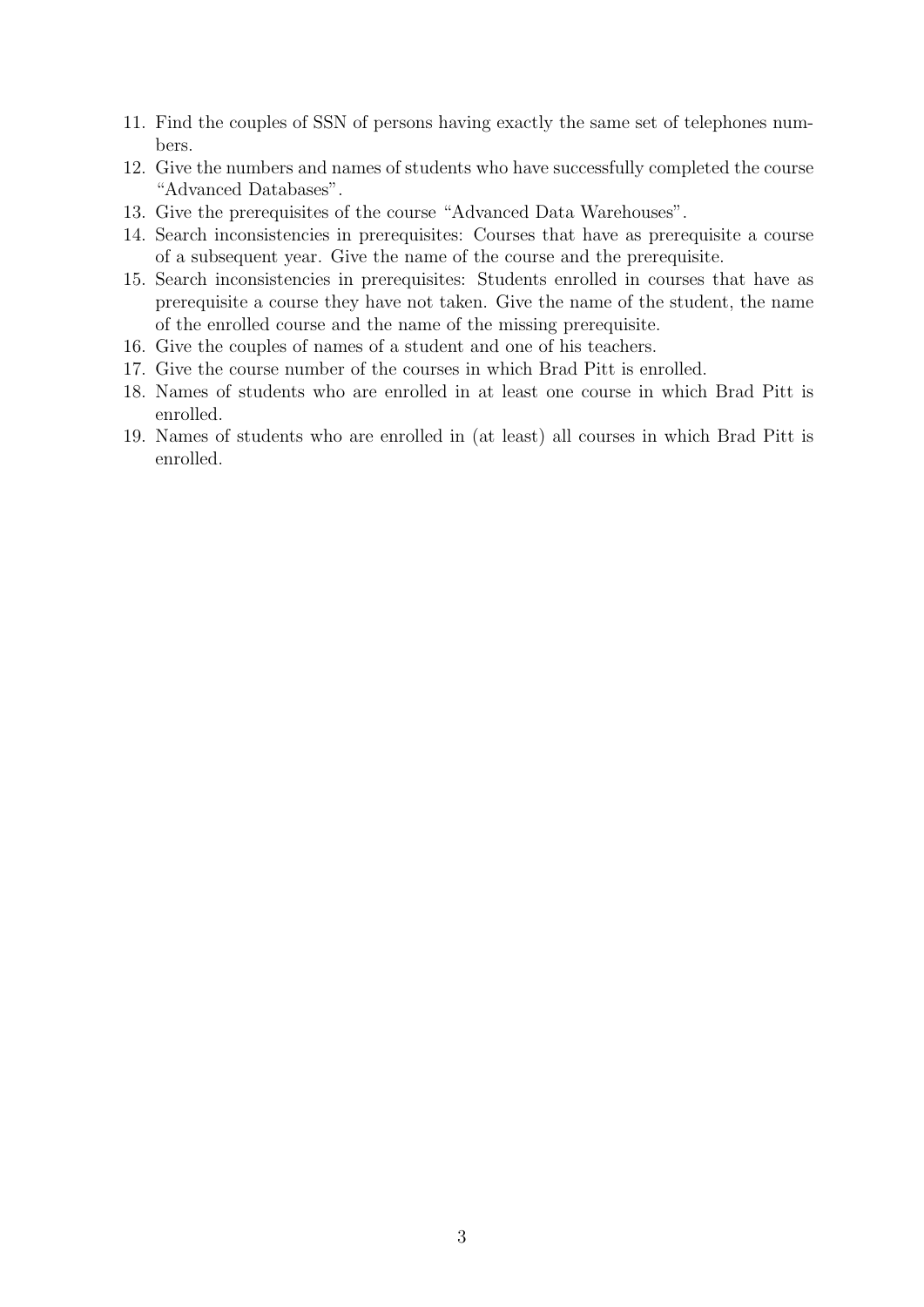- 11. Find the couples of SSN of persons having exactly the same set of telephones numbers.
- 12. Give the numbers and names of students who have successfully completed the course "Advanced Databases".
- 13. Give the prerequisites of the course "Advanced Data Warehouses".
- 14. Search inconsistencies in prerequisites: Courses that have as prerequisite a course of a subsequent year. Give the name of the course and the prerequisite.
- 15. Search inconsistencies in prerequisites: Students enrolled in courses that have as prerequisite a course they have not taken. Give the name of the student, the name of the enrolled course and the name of the missing prerequisite.
- 16. Give the couples of names of a student and one of his teachers.
- 17. Give the course number of the courses in which Brad Pitt is enrolled.
- 18. Names of students who are enrolled in at least one course in which Brad Pitt is enrolled.
- 19. Names of students who are enrolled in (at least) all courses in which Brad Pitt is enrolled.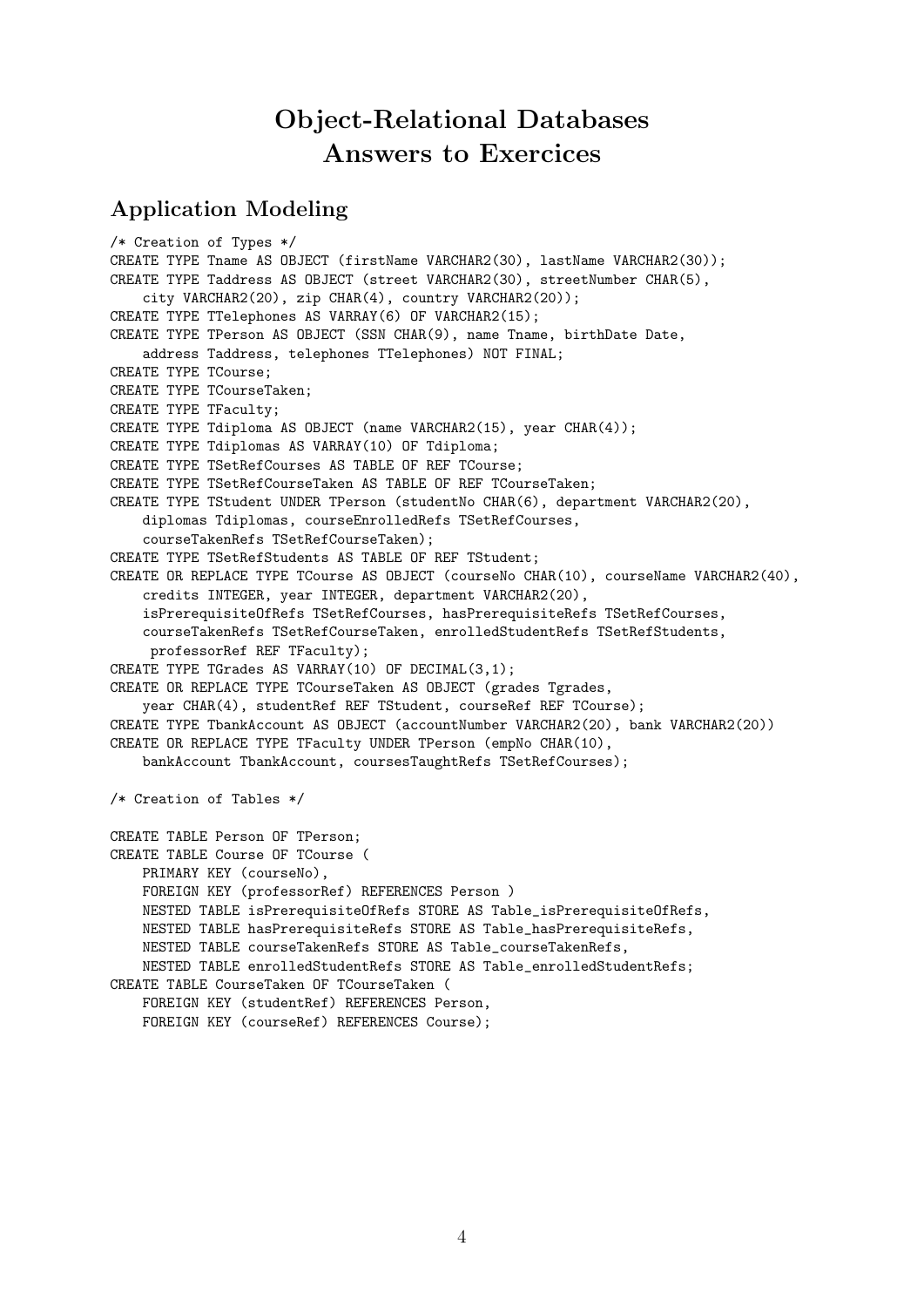## Object-Relational Databases Answers to Exercices

### Application Modeling

/\* Creation of Types \*/ CREATE TYPE Tname AS OBJECT (firstName VARCHAR2(30), lastName VARCHAR2(30)); CREATE TYPE Taddress AS OBJECT (street VARCHAR2(30), streetNumber CHAR(5), city VARCHAR2(20), zip CHAR(4), country VARCHAR2(20)); CREATE TYPE TTelephones AS VARRAY(6) OF VARCHAR2(15); CREATE TYPE TPerson AS OBJECT (SSN CHAR(9), name Tname, birthDate Date, address Taddress, telephones TTelephones) NOT FINAL; CREATE TYPE TCourse; CREATE TYPE TCourseTaken; CREATE TYPE TFaculty; CREATE TYPE Tdiploma AS OBJECT (name VARCHAR2(15), year CHAR(4)); CREATE TYPE Tdiplomas AS VARRAY(10) OF Tdiploma; CREATE TYPE TSetRefCourses AS TABLE OF REF TCourse; CREATE TYPE TSetRefCourseTaken AS TABLE OF REF TCourseTaken; CREATE TYPE TStudent UNDER TPerson (studentNo CHAR(6), department VARCHAR2(20), diplomas Tdiplomas, courseEnrolledRefs TSetRefCourses, courseTakenRefs TSetRefCourseTaken); CREATE TYPE TSetRefStudents AS TABLE OF REF TStudent; CREATE OR REPLACE TYPE TCourse AS OBJECT (courseNo CHAR(10), courseName VARCHAR2(40), credits INTEGER, year INTEGER, department VARCHAR2(20), isPrerequisiteOfRefs TSetRefCourses, hasPrerequisiteRefs TSetRefCourses, courseTakenRefs TSetRefCourseTaken, enrolledStudentRefs TSetRefStudents, professorRef REF TFaculty); CREATE TYPE TGrades AS VARRAY(10) OF DECIMAL(3,1); CREATE OR REPLACE TYPE TCourseTaken AS OBJECT (grades Tgrades, year CHAR(4), studentRef REF TStudent, courseRef REF TCourse); CREATE TYPE TbankAccount AS OBJECT (accountNumber VARCHAR2(20), bank VARCHAR2(20)) CREATE OR REPLACE TYPE TFaculty UNDER TPerson (empNo CHAR(10), bankAccount TbankAccount, coursesTaughtRefs TSetRefCourses); /\* Creation of Tables \*/ CREATE TABLE Person OF TPerson; CREATE TABLE Course OF TCourse ( PRIMARY KEY (courseNo), FOREIGN KEY (professorRef) REFERENCES Person ) NESTED TABLE isPrerequisiteOfRefs STORE AS Table\_isPrerequisiteOfRefs, NESTED TABLE hasPrerequisiteRefs STORE AS Table\_hasPrerequisiteRefs, NESTED TABLE courseTakenRefs STORE AS Table\_courseTakenRefs, NESTED TABLE enrolledStudentRefs STORE AS Table\_enrolledStudentRefs; CREATE TABLE CourseTaken OF TCourseTaken ( FOREIGN KEY (studentRef) REFERENCES Person, FOREIGN KEY (courseRef) REFERENCES Course);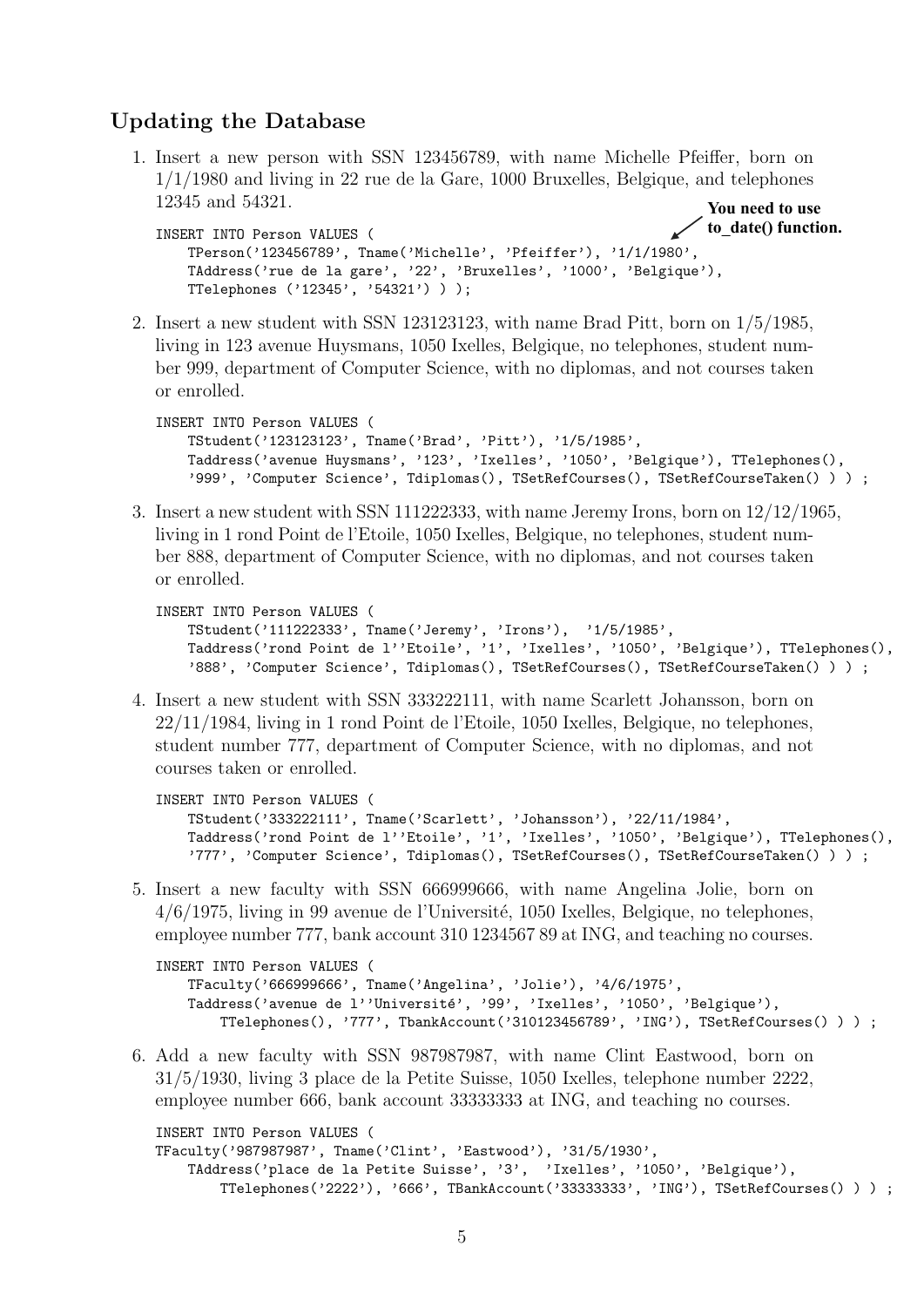### Updating the Database

1. Insert a new person with SSN 123456789, with name Michelle Pfeiffer, born on 1/1/1980 and living in 22 rue de la Gare, 1000 Bruxelles, Belgique, and telephones 12345 and 54321. **You need to use**

```
INSERT INTO Person VALUES (
    TPerson('123456789', Tname('Michelle', 'Pfeiffer'), '1/1/1980',
    TAddress('rue de la gare', '22', 'Bruxelles', '1000', 'Belgique'),
    TTelephones ('12345', '54321') ) );
                                                                     to_date() function.
```
2. Insert a new student with SSN 123123123, with name Brad Pitt, born on 1/5/1985, living in 123 avenue Huysmans, 1050 Ixelles, Belgique, no telephones, student number 999, department of Computer Science, with no diplomas, and not courses taken or enrolled.

```
INSERT INTO Person VALUES (
    TStudent('123123123', Tname('Brad', 'Pitt'), '1/5/1985',
    Taddress('avenue Huysmans', '123', 'Ixelles', '1050', 'Belgique'), TTelephones(),
    '999', 'Computer Science', Tdiplomas(), TSetRefCourses(), TSetRefCourseTaken() ) ) ;
```
3. Insert a new student with SSN 111222333, with name Jeremy Irons, born on 12/12/1965, living in 1 rond Point de l'Etoile, 1050 Ixelles, Belgique, no telephones, student number 888, department of Computer Science, with no diplomas, and not courses taken or enrolled.

```
INSERT INTO Person VALUES (
   TStudent('111222333', Tname('Jeremy', 'Irons'), '1/5/1985',
   Taddress('rond Point de l''Etoile', '1', 'Ixelles', '1050', 'Belgique'), TTelephones(),
    '888', 'Computer Science', Tdiplomas(), TSetRefCourses(), TSetRefCourseTaken() ) ) ;
```
4. Insert a new student with SSN 333222111, with name Scarlett Johansson, born on 22/11/1984, living in 1 rond Point de l'Etoile, 1050 Ixelles, Belgique, no telephones, student number 777, department of Computer Science, with no diplomas, and not courses taken or enrolled.

```
INSERT INTO Person VALUES (
    TStudent('333222111', Tname('Scarlett', 'Johansson'), '22/11/1984',
    Taddress('rond Point de l''Etoile', '1', 'Ixelles', '1050', 'Belgique'), TTelephones(),
    '777', 'Computer Science', Tdiplomas(), TSetRefCourses(), TSetRefCourseTaken() ) ) ;
```
5. Insert a new faculty with SSN 666999666, with name Angelina Jolie, born on  $4/6/1975$ , living in 99 avenue de l'Université, 1050 Ixelles, Belgique, no telephones, employee number 777, bank account 310 1234567 89 at ING, and teaching no courses.

```
INSERT INTO Person VALUES (
    TFaculty('666999666', Tname('Angelina', 'Jolie'), '4/6/1975',
    Taddress('avenue de l''Université', '99', 'Ixelles', '1050', 'Belgique'),
        TTelephones(), '777', TbankAccount('310123456789', 'ING'), TSetRefCourses() ) ) ;
```
6. Add a new faculty with SSN 987987987, with name Clint Eastwood, born on 31/5/1930, living 3 place de la Petite Suisse, 1050 Ixelles, telephone number 2222, employee number 666, bank account 33333333 at ING, and teaching no courses.

```
INSERT INTO Person VALUES (
TFaculty('987987987', Tname('Clint', 'Eastwood'), '31/5/1930',
    TAddress('place de la Petite Suisse', '3', 'Ixelles', '1050', 'Belgique'),
       TTelephones('2222'), '666', TBankAccount('33333333', 'ING'), TSetRefCourses() ) ) ;
```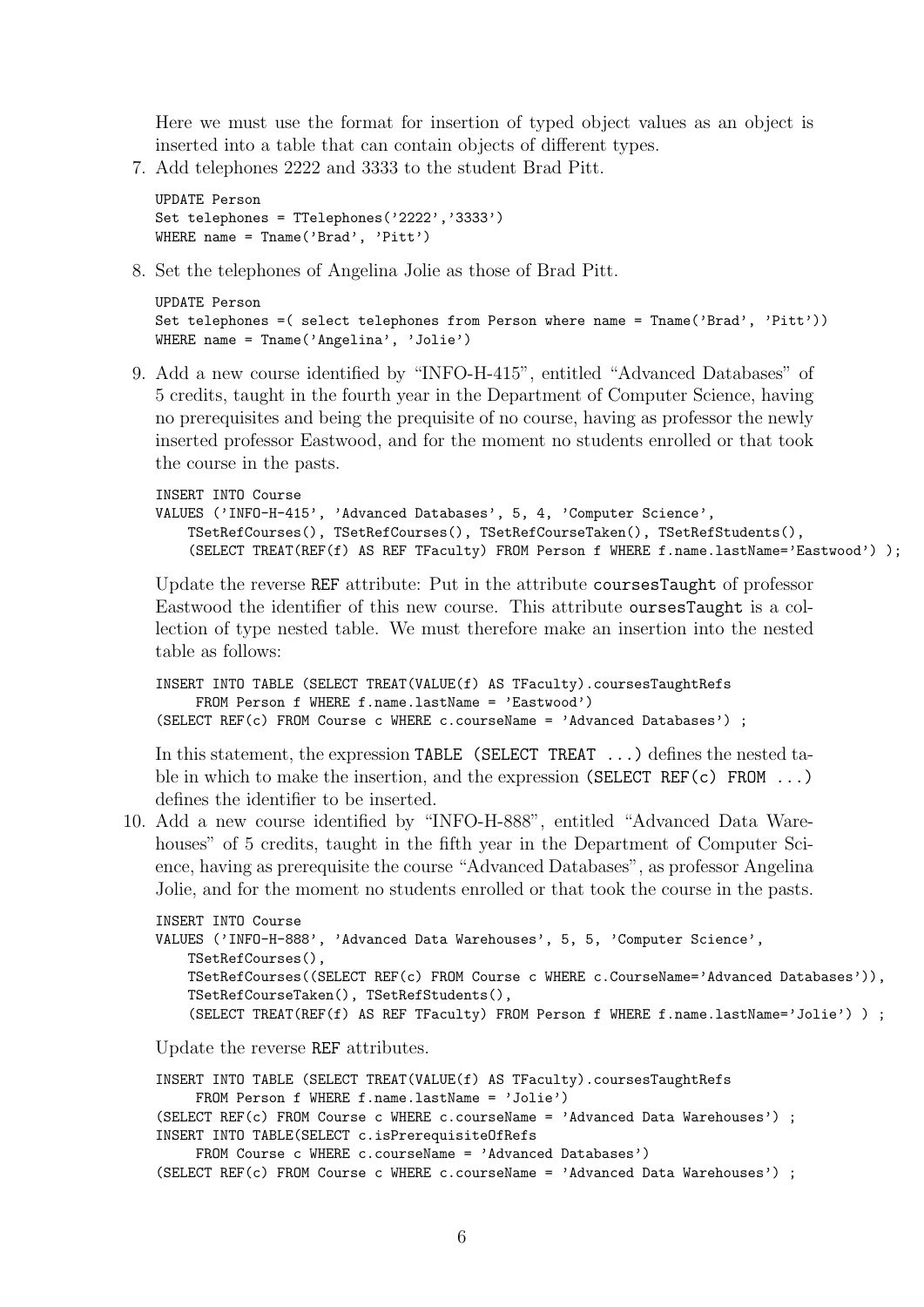Here we must use the format for insertion of typed object values as an object is inserted into a table that can contain objects of different types.

7. Add telephones 2222 and 3333 to the student Brad Pitt.

```
UPDATE Person
Set telephones = TTelephones('2222','3333')
WHERE name = Tname('Brad', 'Pitt')
```
8. Set the telephones of Angelina Jolie as those of Brad Pitt.

```
UPDATE Person
Set telephones = ( select telephones from Person where name = Tname('Brad', 'Pitt'))
WHERE name = Tname('Angelina', 'Jolie')
```
9. Add a new course identified by "INFO-H-415", entitled "Advanced Databases" of 5 credits, taught in the fourth year in the Department of Computer Science, having no prerequisites and being the prequisite of no course, having as professor the newly inserted professor Eastwood, and for the moment no students enrolled or that took the course in the pasts.

```
INSERT INTO Course
VALUES ('INFO-H-415', 'Advanced Databases', 5, 4, 'Computer Science',
    TSetRefCourses(), TSetRefCourses(), TSetRefCourseTaken(), TSetRefStudents(),
    (SELECT TREAT(REF(f) AS REF TFaculty) FROM Person f WHERE f.name.lastName='Eastwood') );
```
Update the reverse REF attribute: Put in the attribute coursesTaught of professor Eastwood the identifier of this new course. This attribute oursesTaught is a collection of type nested table. We must therefore make an insertion into the nested table as follows:

```
INSERT INTO TABLE (SELECT TREAT(VALUE(f) AS TFaculty).coursesTaughtRefs
    FROM Person f WHERE f.name.lastName = 'Eastwood')
(SELECT REF(c) FROM Course c WHERE c.courseName = 'Advanced Databases') ;
```
In this statement, the expression TABLE (SELECT TREAT ...) defines the nested table in which to make the insertion, and the expression (SELECT REF(c) FROM ...) defines the identifier to be inserted.

10. Add a new course identified by "INFO-H-888", entitled "Advanced Data Warehouses" of 5 credits, taught in the fifth year in the Department of Computer Science, having as prerequisite the course "Advanced Databases", as professor Angelina Jolie, and for the moment no students enrolled or that took the course in the pasts.

```
INSERT INTO Course
VALUES ('INFO-H-888', 'Advanced Data Warehouses', 5, 5, 'Computer Science',
   TSetRefCourses(),
    TSetRefCourses((SELECT REF(c) FROM Course c WHERE c.CourseName='Advanced Databases')),
    TSetRefCourseTaken(), TSetRefStudents(),
    (SELECT TREAT(REF(f) AS REF TFaculty) FROM Person f WHERE f.name.lastName='Jolie') ) ;
```
Update the reverse REF attributes.

```
INSERT INTO TABLE (SELECT TREAT(VALUE(f) AS TFaculty).coursesTaughtRefs
    FROM Person f WHERE f.name.lastName = 'Jolie')
(SELECT REF(c) FROM Course c WHERE c.courseName = 'Advanced Data Warehouses') ;
INSERT INTO TABLE(SELECT c.isPrerequisiteOfRefs
    FROM Course c WHERE c.courseName = 'Advanced Databases')
(SELECT REF(c) FROM Course c WHERE c.courseName = 'Advanced Data Warehouses') ;
```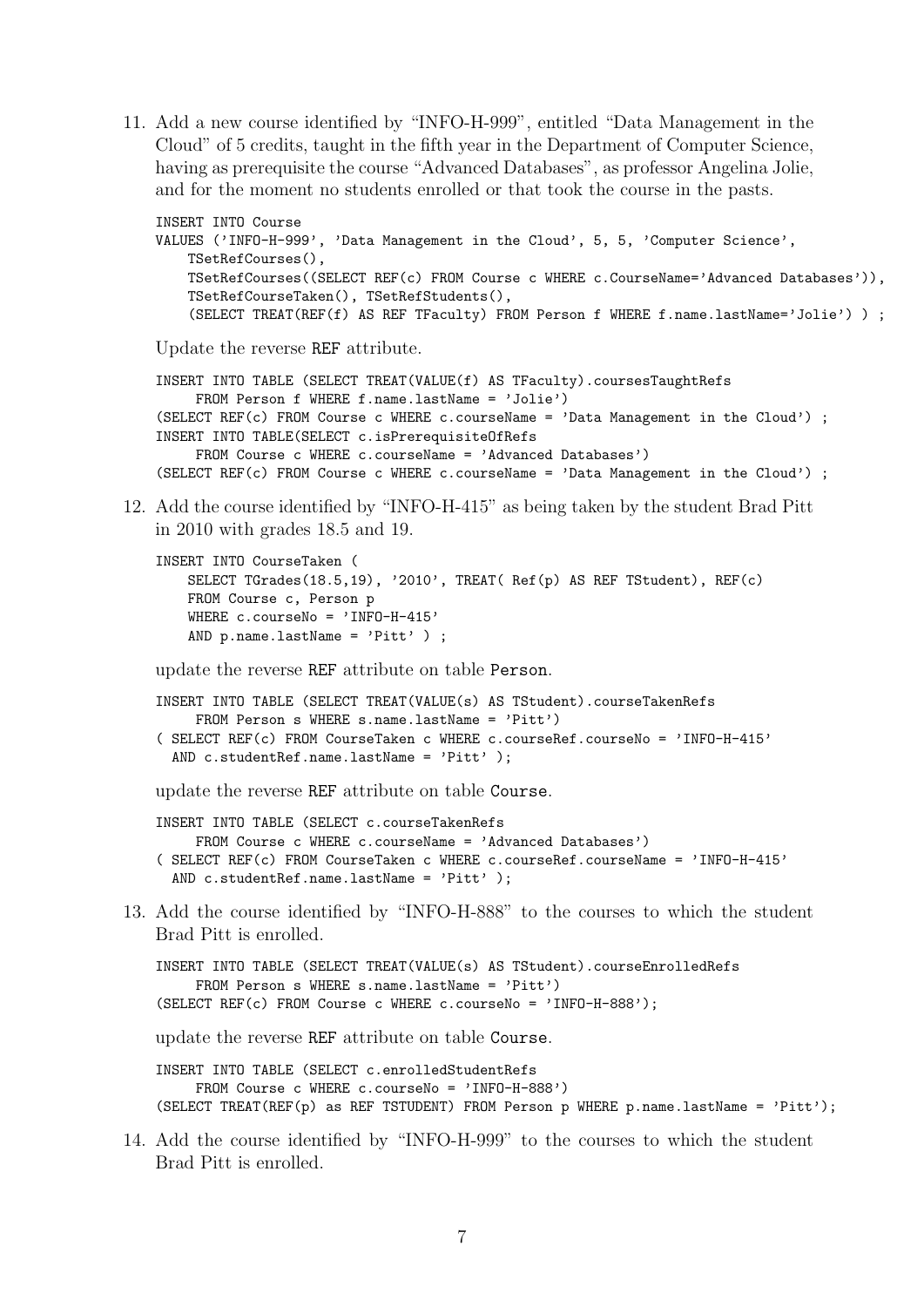11. Add a new course identified by "INFO-H-999", entitled "Data Management in the Cloud" of 5 credits, taught in the fifth year in the Department of Computer Science, having as prerequisite the course "Advanced Databases", as professor Angelina Jolie, and for the moment no students enrolled or that took the course in the pasts.

```
INSERT INTO Course
VALUES ('INFO-H-999', 'Data Management in the Cloud', 5, 5, 'Computer Science',
   TSetRefCourses(),
   TSetRefCourses((SELECT REF(c) FROM Course c WHERE c.CourseName='Advanced Databases')),
   TSetRefCourseTaken(), TSetRefStudents(),
    (SELECT TREAT(REF(f) AS REF TFaculty) FROM Person f WHERE f.name.lastName='Jolie') ) ;
```
Update the reverse REF attribute.

```
INSERT INTO TABLE (SELECT TREAT(VALUE(f) AS TFaculty).coursesTaughtRefs
    FROM Person f WHERE f.name.lastName = 'Jolie')
(SELECT REF(c) FROM Course c WHERE c.courseName = 'Data Management in the Cloud') ;
INSERT INTO TABLE(SELECT c.isPrerequisiteOfRefs
    FROM Course c WHERE c.courseName = 'Advanced Databases')
(SELECT REF(c) FROM Course c WHERE c.courseName = 'Data Management in the Cloud') ;
```
12. Add the course identified by "INFO-H-415" as being taken by the student Brad Pitt in 2010 with grades 18.5 and 19.

```
INSERT INTO CourseTaken (
    SELECT TGrades(18.5,19), '2010', TREAT( Ref(p) AS REF TStudent), REF(c)
   FROM Course c, Person p
   WHERE c.courseNo = 'INFO-H-415'
   AND p.name.lastName = 'Pitt' ) ;
```
update the reverse REF attribute on table Person.

```
INSERT INTO TABLE (SELECT TREAT(VALUE(s) AS TStudent).courseTakenRefs
    FROM Person s WHERE s.name.lastName = 'Pitt')
( SELECT REF(c) FROM CourseTaken c WHERE c.courseRef.courseNo = 'INFO-H-415'
 AND c.studentRef.name.lastName = 'Pitt' );
```
update the reverse REF attribute on table Course.

INSERT INTO TABLE (SELECT c.courseTakenRefs FROM Course c WHERE c.courseName = 'Advanced Databases') ( SELECT REF(c) FROM CourseTaken c WHERE c.courseRef.courseName = 'INFO-H-415' AND c.studentRef.name.lastName = 'Pitt' );

13. Add the course identified by "INFO-H-888" to the courses to which the student Brad Pitt is enrolled.

```
INSERT INTO TABLE (SELECT TREAT(VALUE(s) AS TStudent).courseEnrolledRefs
     FROM Person s WHERE s.name.lastName = 'Pitt')
(SELECT REF(c) FROM Course c WHERE c.courseNo = 'INFO-H-888');
```
update the reverse REF attribute on table Course.

INSERT INTO TABLE (SELECT c.enrolledStudentRefs FROM Course c WHERE c.courseNo = 'INFO-H-888') (SELECT TREAT(REF(p) as REF TSTUDENT) FROM Person p WHERE p.name.lastName = 'Pitt');

14. Add the course identified by "INFO-H-999" to the courses to which the student Brad Pitt is enrolled.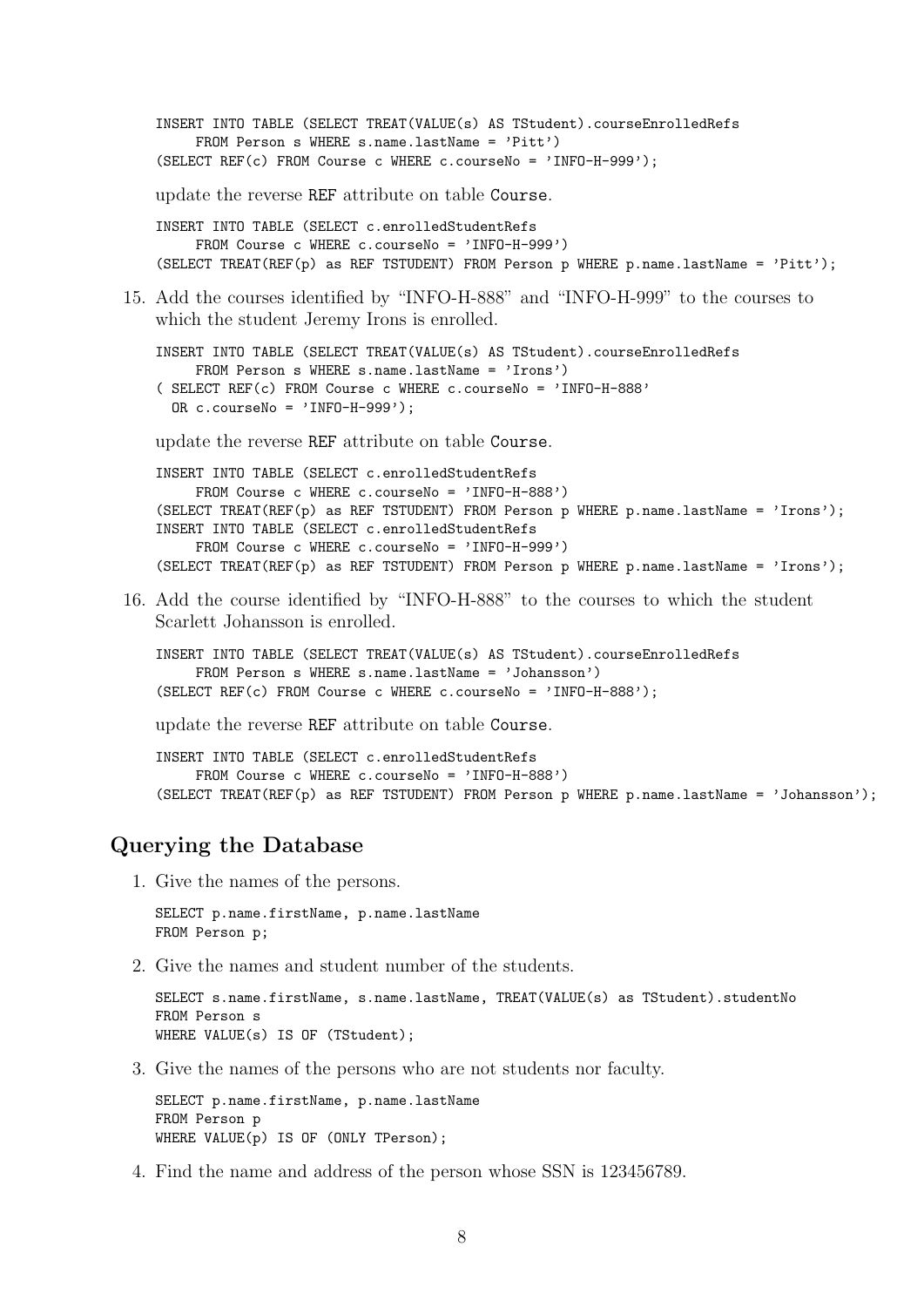INSERT INTO TABLE (SELECT TREAT(VALUE(s) AS TStudent).courseEnrolledRefs FROM Person s WHERE s.name.lastName = 'Pitt') (SELECT REF(c) FROM Course c WHERE c.courseNo = 'INFO-H-999'); update the reverse REF attribute on table Course. INSERT INTO TABLE (SELECT c.enrolledStudentRefs FROM Course c WHERE c.courseNo = 'INFO-H-999') (SELECT TREAT(REF(p) as REF TSTUDENT) FROM Person p WHERE p.name.lastName = 'Pitt'); 15. Add the courses identified by "INFO-H-888" and "INFO-H-999" to the courses to which the student Jeremy Irons is enrolled. INSERT INTO TABLE (SELECT TREAT(VALUE(s) AS TStudent).courseEnrolledRefs FROM Person s WHERE s.name.lastName = 'Irons') ( SELECT REF(c) FROM Course c WHERE c.courseNo = 'INFO-H-888' OR  $c.courseNo = 'INFO-H-999')$ ; update the reverse REF attribute on table Course. INSERT INTO TABLE (SELECT c.enrolledStudentRefs FROM Course c WHERE c.courseNo = 'INFO-H-888')

```
(SELECT TREAT(REF(p) as REF TSTUDENT) FROM Person p WHERE p.name.lastName = 'Irons');
INSERT INTO TABLE (SELECT c.enrolledStudentRefs
     FROM Course c WHERE c.courseNo = 'INFO-H-999')
(SELECT TREAT(REF(p) as REF TSTUDENT) FROM Person p WHERE p.name.lastName = 'Irons');
```
16. Add the course identified by "INFO-H-888" to the courses to which the student Scarlett Johansson is enrolled.

```
INSERT INTO TABLE (SELECT TREAT(VALUE(s) AS TStudent).courseEnrolledRefs
    FROM Person s WHERE s.name.lastName = 'Johansson')
(SELECT REF(c) FROM Course c WHERE c.courseNo = 'INFO-H-888');
```
update the reverse REF attribute on table Course.

INSERT INTO TABLE (SELECT c.enrolledStudentRefs FROM Course c WHERE c.courseNo = 'INFO-H-888') (SELECT TREAT(REF(p) as REF TSTUDENT) FROM Person p WHERE p.name.lastName = 'Johansson');

#### Querying the Database

1. Give the names of the persons.

SELECT p.name.firstName, p.name.lastName FROM Person p;

2. Give the names and student number of the students.

SELECT s.name.firstName, s.name.lastName, TREAT(VALUE(s) as TStudent).studentNo FROM Person s WHERE VALUE(s) IS OF (TStudent);

3. Give the names of the persons who are not students nor faculty.

SELECT p.name.firstName, p.name.lastName FROM Person p WHERE VALUE(p) IS OF (ONLY TPerson);

4. Find the name and address of the person whose SSN is 123456789.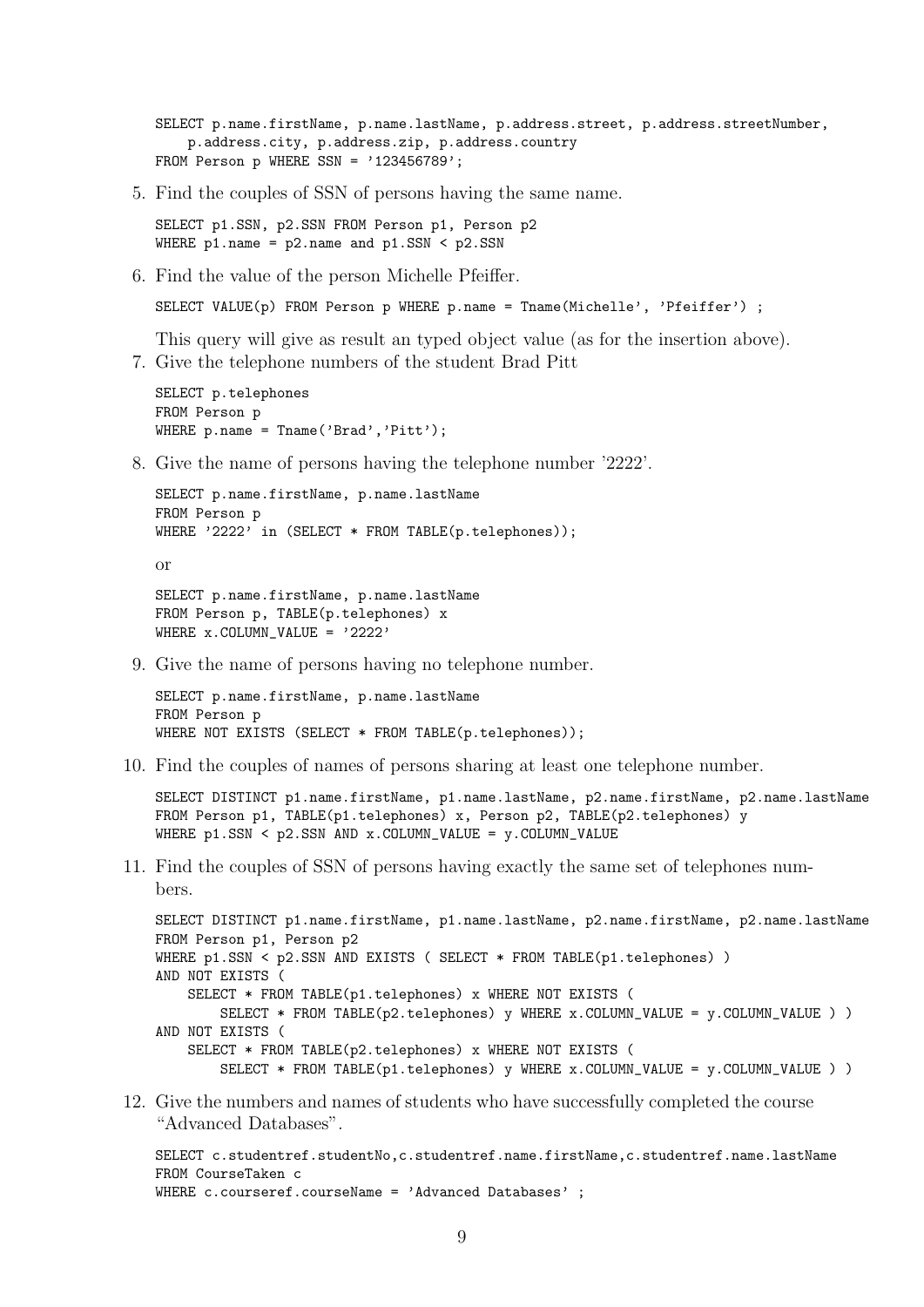SELECT p.name.firstName, p.name.lastName, p.address.street, p.address.streetNumber, p.address.city, p.address.zip, p.address.country FROM Person p WHERE SSN =  $'123456789$ ;

5. Find the couples of SSN of persons having the same name.

SELECT p1.SSN, p2.SSN FROM Person p1, Person p2 WHERE  $p1.name = p2.name and p1.SSN < p2.SSN$ 

6. Find the value of the person Michelle Pfeiffer.

SELECT VALUE(p) FROM Person p WHERE p.name = Tname(Michelle', 'Pfeiffer') ;

This query will give as result an typed object value (as for the insertion above).

7. Give the telephone numbers of the student Brad Pitt

```
SELECT p.telephones
FROM Person p
WHERE p.name = Thame('Brad', 'Pitt');
```
8. Give the name of persons having the telephone number '2222'.

```
SELECT p.name.firstName, p.name.lastName
FROM Person p
WHERE '2222' in (SELECT * FROM TABLE(p.telephones));
or
```

```
SELECT p.name.firstName, p.name.lastName
FROM Person p, TABLE(p.telephones) x
WHERE x. COLUMN VALUE = '2222'
```
9. Give the name of persons having no telephone number.

```
SELECT p.name.firstName, p.name.lastName
FROM Person p
WHERE NOT EXISTS (SELECT * FROM TABLE(p.telephones));
```
10. Find the couples of names of persons sharing at least one telephone number.

```
SELECT DISTINCT p1.name.firstName, p1.name.lastName, p2.name.firstName, p2.name.lastName
FROM Person p1, TABLE(p1.telephones) x, Person p2, TABLE(p2.telephones) y
WHERE p1.SSN < p2.SSN AND x.COLUMN_VALUE = y.COLUMN_VALUE
```
11. Find the couples of SSN of persons having exactly the same set of telephones numbers.

```
SELECT DISTINCT p1.name.firstName, p1.name.lastName, p2.name.firstName, p2.name.lastName
FROM Person p1, Person p2
WHERE p1.SSN < p2.SSN AND EXISTS ( SELECT * FROM TABLE(p1.telephones) )
AND NOT EXISTS (
    SELECT * FROM TABLE(p1.telephones) x WHERE NOT EXISTS (
       SELECT * FROM TABLE(p2.telephones) y WHERE x.COLUMN_VALUE = y.COLUMN_VALUE ) )
AND NOT EXISTS (
    SELECT * FROM TABLE(p2.telephones) x WHERE NOT EXISTS (
        SELECT * FROM TABLE(p1.telephones) y WHERE x.COLUMN_VALUE = y.COLUMN_VALUE) )
```
12. Give the numbers and names of students who have successfully completed the course "Advanced Databases".

```
SELECT c.studentref.studentNo,c.studentref.name.firstName,c.studentref.name.lastName
FROM CourseTaken c
WHERE c.courseref.courseName = 'Advanced Databases';
```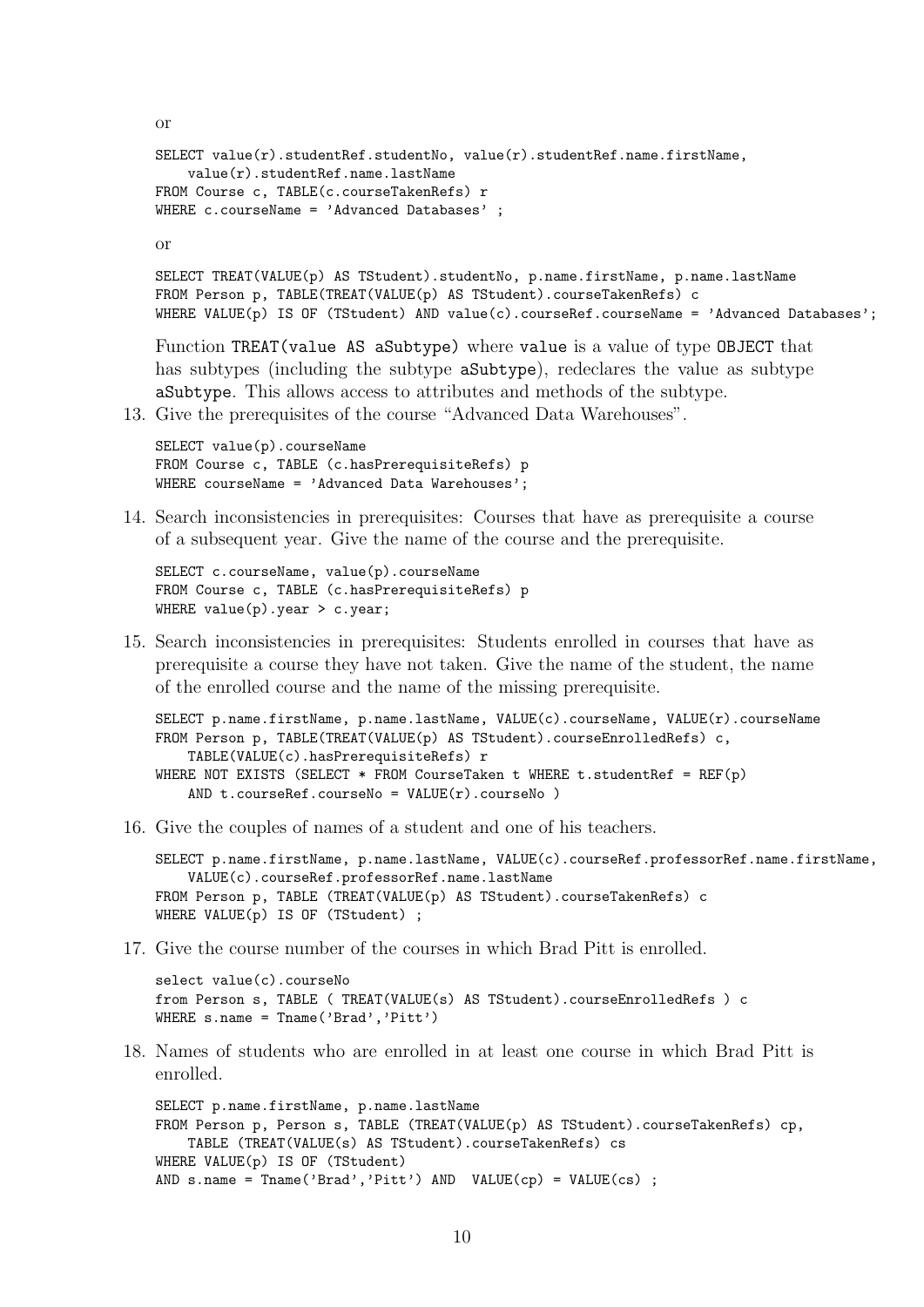```
SELECT value(r).studentRef.studentNo, value(r).studentRef.name.firstName,
    value(r).studentRef.name.lastName
FROM Course c, TABLE(c.courseTakenRefs) r
WHERE c.courseName = 'Advanced Databases' ;
```
or

or

```
SELECT TREAT(VALUE(p) AS TStudent).studentNo, p.name.firstName, p.name.lastName
FROM Person p, TABLE(TREAT(VALUE(p) AS TStudent).courseTakenRefs) c
WHERE VALUE(p) IS OF (TStudent) AND value(c).courseRef.courseName = 'Advanced Databases';
```
Function TREAT(value AS aSubtype) where value is a value of type OBJECT that has subtypes (including the subtype aSubtype), redeclares the value as subtype aSubtype. This allows access to attributes and methods of the subtype.

13. Give the prerequisites of the course "Advanced Data Warehouses".

```
SELECT value(p).courseName
FROM Course c, TABLE (c.hasPrerequisiteRefs) p
WHERE courseName = 'Advanced Data Warehouses';
```
14. Search inconsistencies in prerequisites: Courses that have as prerequisite a course of a subsequent year. Give the name of the course and the prerequisite.

```
SELECT c.courseName, value(p).courseName
FROM Course c, TABLE (c.hasPrerequisiteRefs) p
WHERE value(p).year > c.year;
```
15. Search inconsistencies in prerequisites: Students enrolled in courses that have as prerequisite a course they have not taken. Give the name of the student, the name of the enrolled course and the name of the missing prerequisite.

```
SELECT p.name.firstName, p.name.lastName, VALUE(c).courseName, VALUE(r).courseName
FROM Person p, TABLE(TREAT(VALUE(p) AS TStudent).courseEnrolledRefs) c,
    TABLE(VALUE(c).hasPrerequisiteRefs) r
WHERE NOT EXISTS (SELECT * FROM CourseTaken t WHERE t.studentRef = REF(p)
    AND t.courseRef.courseNo = VALUE(r).courseNo)
```
16. Give the couples of names of a student and one of his teachers.

```
SELECT p.name.firstName, p.name.lastName, VALUE(c).courseRef.professorRef.name.firstName,
    VALUE(c).courseRef.professorRef.name.lastName
FROM Person p, TABLE (TREAT(VALUE(p) AS TStudent).courseTakenRefs) c
WHERE VALUE(p) IS OF (TStudent) ;
```
17. Give the course number of the courses in which Brad Pitt is enrolled.

```
select value(c).courseNo
from Person s, TABLE ( TREAT(VALUE(s) AS TStudent).courseEnrolledRefs ) c
WHERE s.name = Tname('Brad','Pitt')
```
18. Names of students who are enrolled in at least one course in which Brad Pitt is enrolled.

SELECT p.name.firstName, p.name.lastName FROM Person p, Person s, TABLE (TREAT(VALUE(p) AS TStudent).courseTakenRefs) cp, TABLE (TREAT(VALUE(s) AS TStudent).courseTakenRefs) cs WHERE VALUE(p) IS OF (TStudent) AND  $s.name = Tname('Brad', 'Pitt') AND VALUE(op) = VALUE(cs)$ ;